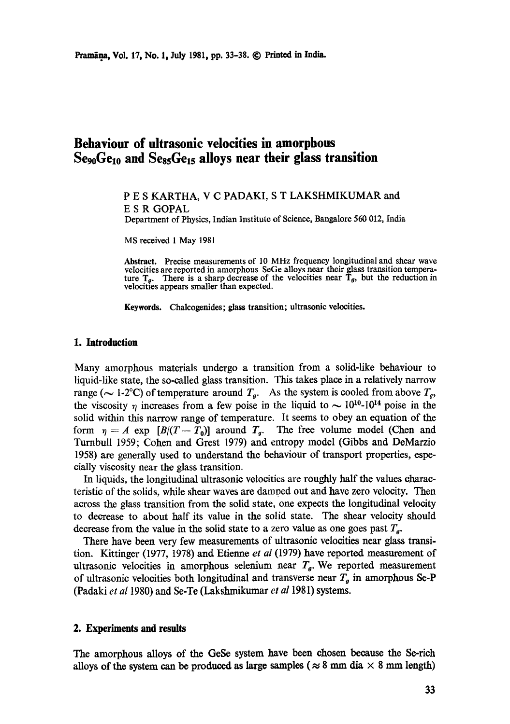# **Behaviour of ultrasonic velocities in amorphous**  Se<sub>90</sub>Ge<sub>10</sub> and Se<sub>85</sub>Ge<sub>15</sub> alloys near their glass transition

## P E S KARTHA, V C PADAKI, S T LAKSHMIKUMAR and E S R GOPAL

Department of Physics, Indian Institute of Science, Bangalore 560 012, India

MS received 1 May 1981

**Abstract.** Precise measurements of 10 MHz frequency longitudinal and shear wave velocities are reported in amorphous SeGe alloys near their glass transition temperature  $T_g$ . There is a sharp decrease of the velocities near  $T_g$ , but the reduction in velocities appears smaller than expected.

**Keywords.** Chalcogenides; **glass transition;** ultrasonic velocities.

## **1. Introduction**

Many amorphous materials undergo a transition from a solid-like behaviour to liquid-like state, the so-called glass transition. This takes place in a relatively narrow range ( $\sim$  1-2°C) of temperature around  $T_a$ . As the system is cooled from above  $T_a$ , the viscosity  $\eta$  increases from a few poise in the liquid to  $\sim 10^{10}$ -10<sup>14</sup> poise in the solid within this narrow range of temperature. It seems to obey an equation of the form  $\eta = A$  exp  $[B/(T-T_0)]$  around  $T_g$ . The free volume model (Chen and Turnbull 1959; Cohen and Grest 1979) and entropy model (Gibbs and DeMarzio 1958) are generally used to understand the behaviour of transport properties, especially viscosity near the glass transition,

In liquids, the longitudinal ultrasonic velocities are roughly half the values characteristic of the solids, while shear waves are damoed out and have zero velocity. Then across the glass transition from the solid state, one expects the longitudinal velocity to decrease to about half its value in the solid state. The shear velocity should decrease from the value in the solid state to a zero value as one goes past  $T_g$ .

There have been very few measurements of ultrasonic velocities near glass transition. Kittinger (1977, 1978) and Etienne *et al* (1979) have reported measurement of ultrasonic velocities in amorphous selenium near  $T<sub>g</sub>$ . We reported measurement of ultrasonic velocities both longitudinal and transverse near  $T<sub>g</sub>$  in amorphous Se-P (Padaki *et a11980)* and Se-Te (Lakshmikumar *et a11981)* systems.

### **2. Experiments and results**

The amorphous alloys of the GeSe system have been chosen because the Se-rich alloys of the system can be produced as large samples ( $\approx 8$  mm dia  $\times$  8 mm length)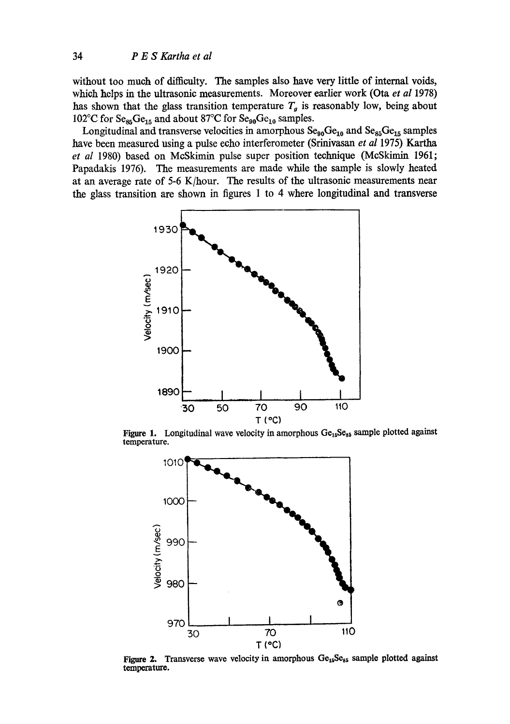without too much of difficulty. The samples also have very little of internal voids, which helps in the ultrasonic measurements. Moreover earlier work (Ota et al 1978) has shown that the glass transition temperature  $T<sub>g</sub>$  is reasonably low, being about 102°C for  $Se_{85}Ge_{15}$  and about 87°C for  $Se_{90}Ge_{10}$  samples.

Longitudinal and transverse velocities in amorphous  $Se_{90}Ge_{10}$  and  $Se_{85}Ge_{15}$  samples have been measured using a pulse echo interferometer (Srinivasan *et al* 1975) Kartha *et al* 1980) based on McSkimin pulse super position technique (McSkjmin 1961; Papadakis 1976). The measurements are made while the sample is slowly heated at an average rate of 5-6 K/hour. The results of the ultrasonic measurements near the glass transition are shown in figures 1 to 4 where longitudinal and transverse



Figure 1. Longitudinal wave velocity in amorphous  $Ge_{15}Se_{85}$  sample plotted against temperature.



Figure 2. Transverse wave velocity in amorphous  $Ge_{15}Se_{85}$  sample plotted against **temperature.**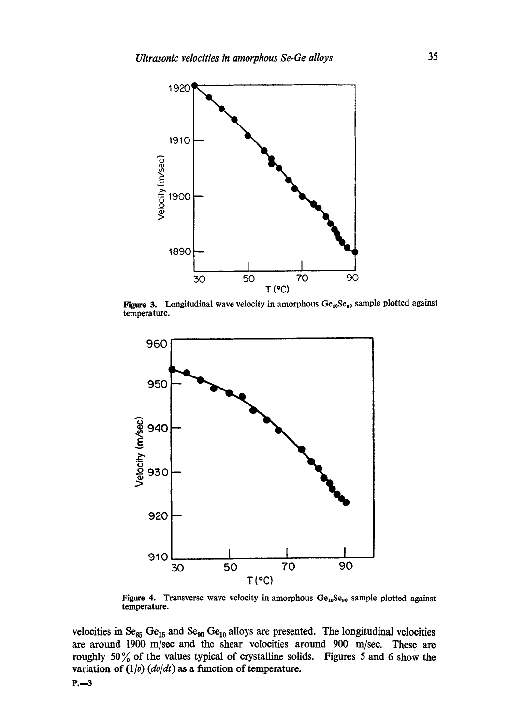

Figure 3. Longitudinal wave velocity in amorphous  $Ge_{10}Se_{90}$  sample plotted against temperature.



Figure 4. Transverse wave velocity in amorphous  $Ge_{10}Se_{90}$  sample plotted against temperature.

velocities in  $Se_{85} Ge_{15}$  and  $Se_{90} Ge_{10}$  alloys are presented. The longitudinal velocities are around 1900 m/see and the shear velocities around 900 m/see. These are roughly 50 % of the values typical of crystalline solids. Figures 5 and 6 show the variation of  $(1/v)$   $(dv/dt)$  as a function of temperature.

 $P. -3$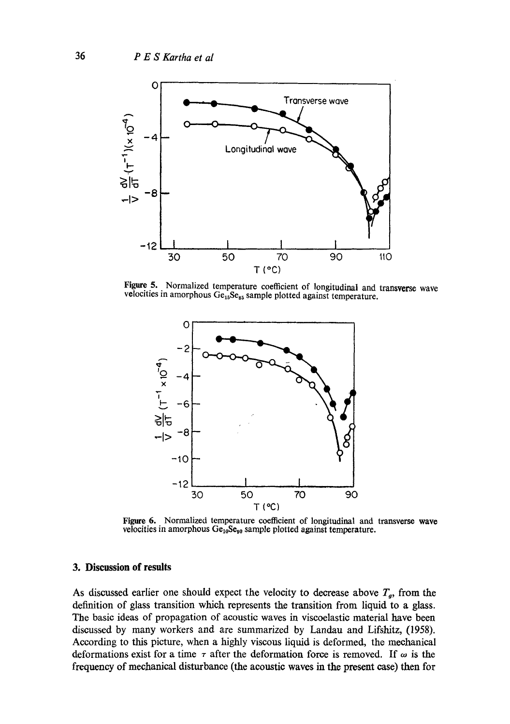

**Figure 5.** Normalized temperature coefficient of longitudinal and transverse wave velocities in amorphous  $Ge_{15}Se_{85}$  sample plotted against temperature.



Figure 6. Normalized temperature coefficient of longitudinal and transverse wave velocities in amorphous  $Ge_{10}Se_{90}$  sample plotted against temperature.

#### **3. Discussion of results**

As discussed earlier one should expect the velocity to decrease above  $T<sub>a</sub>$ , from the definition of glass transition which represents the transition from liquid to a glass. The basic ideas of propagation of acoustic waves in viscoelastic material have been discussed by many workers and are summarized by Landau and Lifshitz, (1958). According to this picture, when a highly viscous liquid is deformed, the mechanical deformations exist for a time  $\tau$  after the deformation force is removed. If  $\omega$  is the frequency of mechanical disturbance (the acoustic waves in the present ease) then for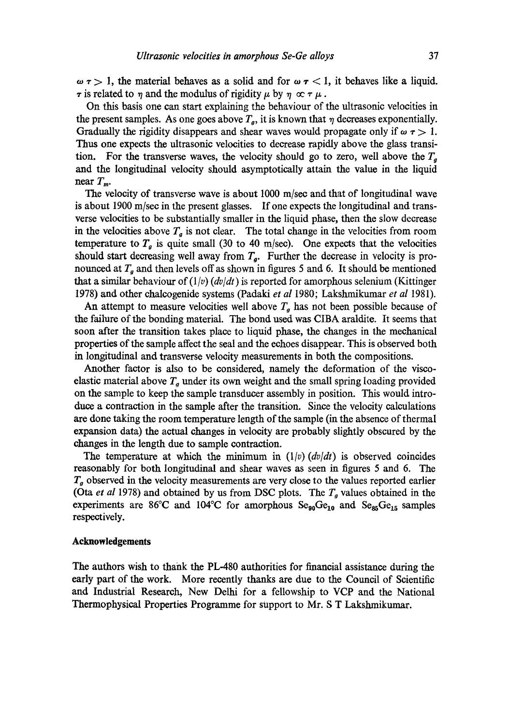$\omega$   $\tau$  > 1, the material behaves as a solid and for  $\omega$   $\tau$  < 1, it behaves like a liquid.  $\tau$  is related to  $\eta$  and the modulus of rigidity  $\mu$  by  $\eta \propto \tau \mu$ .

On this basis one can start explaining the behaviour of the ultrasonic velocities in the present samples. As one goes above  $T_g$ , it is known that  $\eta$  decreases exponentially. Gradually the rigidity disappears and shear waves would propagate only if  $\omega \tau > 1$ . Thus one expects the ultrasonic velocities to decrease rapidly above the glass transition. For the transverse waves, the velocity should go to zero, well above the  $T<sub>g</sub>$ and the longitudinal velocity should asymptotically attain the value in the liquid near  $T_m$ .

The velocity of transverse wave is about 1000 m/sec and that of longitudinal wave is about 1900 m/see in the present glasses. If one expects the longitudinal and transverse velocities to be substantially smaller in the liquid phase, then the slow decrease in the velocities above  $T<sub>g</sub>$  is not clear. The total change in the velocities from room temperature to  $T<sub>g</sub>$  is quite small (30 to 40 m/sec). One expects that the velocities should start decreasing well away from  $T_a$ . Further the decrease in velocity is pronounced at  $T<sub>g</sub>$  and then levels off as shown in figures 5 and 6. It should be mentioned that a similar behaviour of  $(1/v)$  *(dv/dt)* is reported for amorphous selenium (Kittinger 1978) and other chalcogenide systems (Padaki *et al* 1980; Lakshmikumar *et al* 1981).

An attempt to measure velocities well above  $T<sub>g</sub>$  has not been possible because of the failure of the bonding material. The bond used was CIBA araldite. It seems that soon after the transition takes place to liquid phase, the changes in the mechanical properties of the sample affect the seal and the echoes disappear. This is observed both in longitudinal and transverse velocity measurements in both the compositions.

Another factor is also to be considered, namely the deformation of the viscoelastic material above  $T<sub>q</sub>$  under its own weight and the small spring loading provided on the sample to keep the sample transducer assembly in position. This would introduce a contraction in the sample after the transition. Since the velocity calculations are done taking the room temperature length of the sample (in the absence of thermal expansion data) the actual changes in velocity are probably slightly obscured by the changes in the length due to sample contraction.

The temperature at which the minimum in  $(1/v)(dv/dt)$  is observed coincides reasonably for both longitudinal and shear waves as seen in figures 5 and 6. The  $T<sub>g</sub>$  observed in the velocity measurements are very close to the values reported earlier (Ota *et al* 1978) and obtained by us from DSC plots. The  $T<sub>g</sub>$  values obtained in the experiments are 86°C and 104°C for amorphous  $Se_{90}Ge_{10}$  and  $Se_{85}Ge_{15}$  samples respectively.

#### **Acknowledgements**

The authors wish to thank the PL-480 authorities for financial assistance during the early part of the work. More recently thanks are due to the Council of Scientific and Industrial Research, New Delhi for a fellowship to VCP and the National Thermophysical Properties Programme for support to Mr. S T Lakshmikumar.